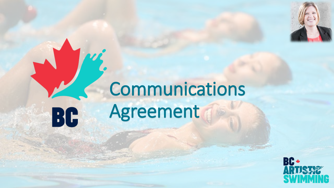

# Communications AgreementBC

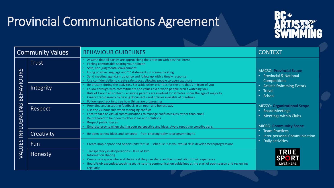## Provincial Communications Agreement



| <b>Community Values</b>                                                                         |              | <b>BEHAVIOUR GUIDELINES</b>                                                                                                                                                                                                                                                                                                                                                                                                   | <b>CONTEXT</b>                                                                                                                                                                                                                                                                                                                                                                      |
|-------------------------------------------------------------------------------------------------|--------------|-------------------------------------------------------------------------------------------------------------------------------------------------------------------------------------------------------------------------------------------------------------------------------------------------------------------------------------------------------------------------------------------------------------------------------|-------------------------------------------------------------------------------------------------------------------------------------------------------------------------------------------------------------------------------------------------------------------------------------------------------------------------------------------------------------------------------------|
| EHAVIOURS<br>$\Omega$<br><b>LUENCING</b><br>늳<br>$\overline{\phantom{0}}$<br>UES<br><b>LIAV</b> | <b>Trust</b> | • Assume that all parties are approaching the situation with positive intent<br>Feeling comfortable sharing your opinion<br>Safe, non-judgmental environment<br>Using positive language and "I" statements in communicating<br>Send meeting agenda in advance and follow up with a timely response<br>Use confidentiality to create safe spaces allowing people to open up/share                                              | <b>MACRO: Provincial Scope</b><br>• Provincial & National<br>Competitions<br>• Artistic Swimming Events<br>• Travel<br>• School<br><b>MEZZO: Organizational Scope</b><br>• Board Meetings<br>• Meetings within Clubs<br><b>MICRO: Community Scope</b><br>• Team Practices<br>• Inter-personal Communication<br>Daily activities<br><b>TRUE</b><br><b>SPORT</b><br><b>LIVES HERE</b> |
|                                                                                                 | Integrity    | Be present during the activities. Set aside other priorities for the one that's in front of you<br>Follow through with commitments and values even when people aren't watching you<br>Rule of Two in all context - ensuring parents are involved for athletes under the age of majority<br>Create transparency by having documents and policies available at meetings<br>Follow up/check in to see how things are progressing |                                                                                                                                                                                                                                                                                                                                                                                     |
|                                                                                                 | Respect      | Providing and accepting feedback in an open and honest way<br>Use the 24-hour rule when managing conflict<br>Face to face or virtual communications to manage conflict/issues rather than email<br>Be prepared to be open to other ideas and solutions<br>Respect public spaces<br>Embrace brevity when sharing your perspective and ideas. Avoid repetitive contributions.                                                   |                                                                                                                                                                                                                                                                                                                                                                                     |
|                                                                                                 | Creativity   | Be open to new ideas and concepts - from choreography to programming to                                                                                                                                                                                                                                                                                                                                                       |                                                                                                                                                                                                                                                                                                                                                                                     |
|                                                                                                 | Fun          | Create ample space and opportunity for fun - schedule it as you would skills development/progressions                                                                                                                                                                                                                                                                                                                         |                                                                                                                                                                                                                                                                                                                                                                                     |
|                                                                                                 | Honesty      | Transparency in all operations - Rule of Two<br><b>Information sharing</b><br>Create safe space where athletes feel they can share and be honest about their experience<br>Board/club executive/coaching teams setting communication guidelines at the start of each season and reviewing<br>regularly                                                                                                                        |                                                                                                                                                                                                                                                                                                                                                                                     |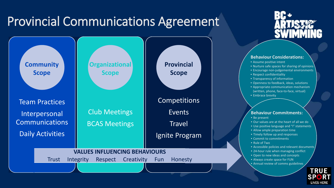### Provincial Communications Agreement





#### **Behaviour Considerations:**

- Assume positive intent
- Nurture safe spaces for sharing of opinions
- Encourage non-judgemental environments
- Respect confidentiality
- Transparency of information
- Openness to feedback, ideas, solutions
- Appropriate communication mechanism (written, phone, face-to-face, virtual) • Embrace brevity

#### **Behaviour Commitments:**

- Be present
- Our values are at the heart of all we do
- Use positive language and "I" statements
- Allow ample preparation time
- Timely follow up and responses
- Commit to commitments
- Rule of Two
- Accessible policies and relevant documents
- 24-hour rule when managing conflict
- Open to new ideas and concepts
- Always create space for FUN
- Annual review of comms guidelines

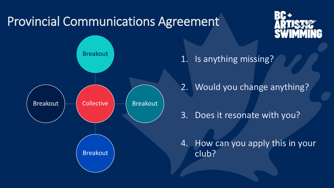### Provincial Communications Agreement





- 1. Is anything missing?
- 2. Would you change anything?
- 3. Does it resonate with you?

4. How can you apply this in your club?